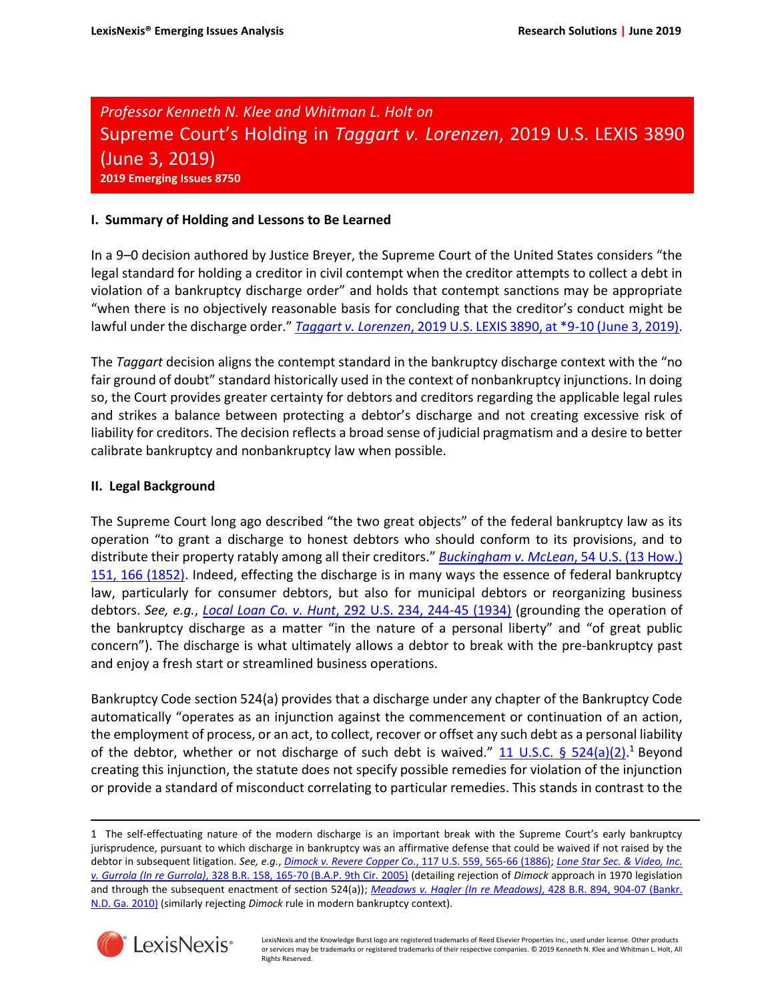*Professor Kenneth N. Klee and Whitman L. Holt on* Supreme Court's Holding in *Taggart v. Lorenzen*, 2019 U.S. LEXIS 3890 (June 3, 2019) **2019 Emerging Issues 8750**

# **I. Summary of Holding and Lessons to Be Learned**

In a 9–0 decision authored by Justice Breyer, the Supreme Court of the United States considers "the legal standard for holding a creditor in civil contempt when the creditor attempts to collect a debt in violation of a bankruptcy discharge order" and holds that contempt sanctions may be appropriate "when there is no objectively reasonable basis for concluding that the creditor's conduct might be lawful under the discharge order." *Taggart v. Lorenzen*[, 2019 U.S. LEXIS 3890, at \\*9-10 \(June 3, 2019\).](https://advance.lexis.com/api/search?context=1000516&q=2019+U.S.+LEXIS+3890%2c+at+*9)

The *Taggart* decision aligns the contempt standard in the bankruptcy discharge context with the "no fair ground of doubt" standard historically used in the context of nonbankruptcy injunctions. In doing so, the Court provides greater certainty for debtors and creditors regarding the applicable legal rules and strikes a balance between protecting a debtor's discharge and not creating excessive risk of liability for creditors. The decision reflects a broad sense of judicial pragmatism and a desire to better calibrate bankruptcy and nonbankruptcy law when possible.

## **II. Legal Background**

The Supreme Court long ago described "the two great objects" of the federal bankruptcy law as its operation "to grant a discharge to honest debtors who should conform to its provisions, and to distribute their property ratably among all their creditors." *Buckingham v. McLean*[, 54 U.S. \(13 How.\)](https://advance.lexis.com/api/search?context=1000516&q=54+U.S.+151%2c+166)  [151, 166 \(1852\).](https://advance.lexis.com/api/search?context=1000516&q=54+U.S.+151%2c+166) Indeed, effecting the discharge is in many ways the essence of federal bankruptcy law, particularly for consumer debtors, but also for municipal debtors or reorganizing business debtors. *See, e.g.*, *Local Loan Co. v. Hunt*[, 292 U.S. 234, 244-45 \(1934\)](https://advance.lexis.com/api/search?context=1000516&q=292+U.S.+234%2c+244) (grounding the operation of the bankruptcy discharge as a matter "in the nature of a personal liberty" and "of great public concern"). The discharge is what ultimately allows a debtor to break with the pre-bankruptcy past and enjoy a fresh start or streamlined business operations.

Bankruptcy Code section 524(a) provides that a discharge under any chapter of the Bankruptcy Code automatically "operates as an injunction against the commencement or continuation of an action, the employment of process, or an act, to collect, recover or offset any such debt as a personal liability of the debtor, whether or not discharge of such debt is waived." [11 U.S.C. § 524\(a\)\(2\).](https://advance.lexis.com/api/search?context=1000516&q=11+U.S.C.+524)<sup>1</sup> Beyond creating this injunction, the statute does not specify possible remedies for violation of the injunction or provide a standard of misconduct correlating to particular remedies. This stands in contrast to the

<sup>1</sup> The self-effectuating nature of the modern discharge is an important break with the Supreme Court's early bankruptcy jurisprudence, pursuant to which discharge in bankruptcy was an affirmative defense that could be waived if not raised by the debtor in subsequent litigation. *See, e.g.*, *Dimock v. Revere Copper Co*[., 117 U.S. 559, 565-66 \(1886\);](https://advance.lexis.com/api/search?context=1000516&q=117+U.S.+559%2c+565) *Lone Star Sec. & [Video,](https://advance.lexis.com/api/search?context=1000516&q=328+B.R.+158%2c+165) Inc. v. Gurrola (In re Gurrola)*[, 328 B.R. 158, 165-70 \(B.A.P. 9th Cir. 2005\)](https://advance.lexis.com/api/search?context=1000516&q=328+B.R.+158%2c+165) (detailing rejection of *Dimock* approach in 1970 legislation and through the subsequent enactment of section 524(a)); *Meadows v. Hagler (In re Meadows)*[, 428 B.R. 894, 904-07 \(Bankr.](https://advance.lexis.com/api/search?context=1000516&q=428+B.R.+894%2c+904)  [N.D. Ga. 2010\)](https://advance.lexis.com/api/search?context=1000516&q=428+B.R.+894%2c+904) (similarly rejecting *Dimock* rule in modern bankruptcy context).



 $\overline{\phantom{a}}$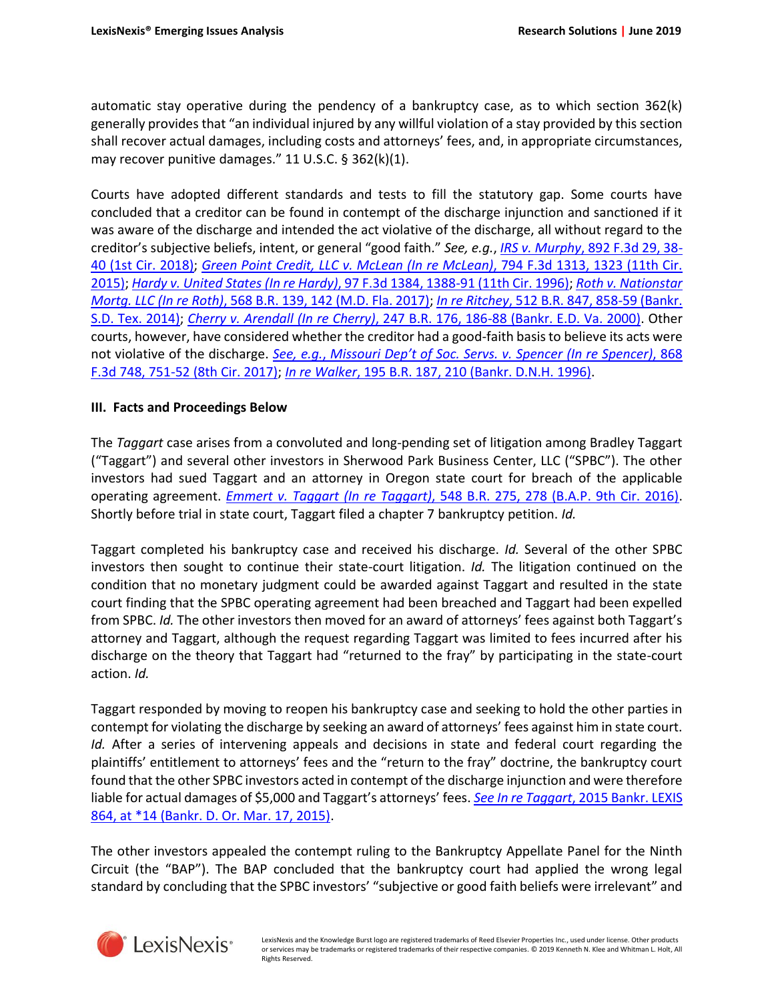automatic stay operative during the pendency of a bankruptcy case, as to which section 362(k) generally provides that "an individual injured by any willful violation of a stay provided by this section shall recover actual damages, including costs and attorneys' fees, and, in appropriate circumstances, may recover punitive damages." 11 U.S.C. § 362(k)(1).

Courts have adopted different standards and tests to fill the statutory gap. Some courts have concluded that a creditor can be found in contempt of the discharge injunction and sanctioned if it was aware of the discharge and intended the act violative of the discharge, all without regard to the creditor's subjective beliefs, intent, or general "good faith." *See, e.g.*, *IRS v. Murphy*[, 892 F.3d 29, 38-](https://advance.lexis.com/api/search?context=1000516&q=892+F.3d+29%2c+38) [40 \(1st Cir. 2018\);](https://advance.lexis.com/api/search?context=1000516&q=892+F.3d+29%2c+38) *Green Point Credit, LLC v. McLean (In re McLean)*[, 794 F.3d 1313, 1323 \(11th Cir.](https://advance.lexis.com/api/search?context=1000516&q=794+F.3d+1313%2c+1323)  [2015\);](https://advance.lexis.com/api/search?context=1000516&q=794+F.3d+1313%2c+1323) *Hardy v. United States (In re Hardy)*[, 97 F.3d 1384, 1388-91 \(11th Cir. 1996\);](https://advance.lexis.com/api/search?context=1000516&q=97+F.3d+1384%2c+1388) *Roth v. [Nationstar](https://advance.lexis.com/api/search?context=1000516&q=568+B.R.+139%2c+142) Mortg. LLC (In re Roth)*[, 568 B.R. 139, 142 \(M.D. Fla. 2017\);](https://advance.lexis.com/api/search?context=1000516&q=568+B.R.+139%2c+142) *In re Ritchey*[, 512 B.R. 847, 858-59 \(Bankr.](https://advance.lexis.com/api/search?context=1000516&q=512+B.R.+847%2c+858)  [S.D. Tex. 2014\);](https://advance.lexis.com/api/search?context=1000516&q=512+B.R.+847%2c+858) *Cherry v. Arendall (In re Cherry)*[, 247 B.R. 176, 186-88 \(Bankr. E.D. Va. 2000\).](https://advance.lexis.com/api/search?context=1000516&q=247+B.R.+176%2c+186) Other courts, however, have considered whether the creditor had a good-faith basis to believe its acts were not violative of the discharge. *See, e.g.*, *Missouri Dep't of Soc. Servs. v. Spencer (In re [Spencer\)](https://advance.lexis.com/api/search?context=1000516&q=868+F.3d+748%2c+751)*, 868 [F.3d 748, 751-52 \(8th Cir. 2017\);](https://advance.lexis.com/api/search?context=1000516&q=868+F.3d+748%2c+751) *In re Walker*[, 195 B.R. 187, 210 \(Bankr. D.N.H. 1996\).](https://advance.lexis.com/api/search?context=1000516&q=195+B.R.+187%2c+210)

# **III. Facts and Proceedings Below**

The *Taggart* case arises from a convoluted and long-pending set of litigation among Bradley Taggart ("Taggart") and several other investors in Sherwood Park Business Center, LLC ("SPBC"). The other investors had sued Taggart and an attorney in Oregon state court for breach of the applicable operating agreement. *Emmert v. Taggart (In re Taggart)*[, 548 B.R. 275, 278 \(B.A.P. 9th Cir. 2016\).](https://advance.lexis.com/api/search?context=1000516&q=548+B.R.+275%2c+278) Shortly before trial in state court, Taggart filed a chapter 7 bankruptcy petition. *Id.*

Taggart completed his bankruptcy case and received his discharge. *Id.* Several of the other SPBC investors then sought to continue their state-court litigation. *Id.* The litigation continued on the condition that no monetary judgment could be awarded against Taggart and resulted in the state court finding that the SPBC operating agreement had been breached and Taggart had been expelled from SPBC. *Id.* The other investors then moved for an award of attorneys' fees against both Taggart's attorney and Taggart, although the request regarding Taggart was limited to fees incurred after his discharge on the theory that Taggart had "returned to the fray" by participating in the state-court action. *Id.*

Taggart responded by moving to reopen his bankruptcy case and seeking to hold the other parties in contempt for violating the discharge by seeking an award of attorneys' fees against him in state court. *Id.* After a series of intervening appeals and decisions in state and federal court regarding the plaintiffs' entitlement to attorneys' fees and the "return to the fray" doctrine, the bankruptcy court found that the other SPBC investors acted in contempt of the discharge injunction and were therefore liable for actual damages of \$5,000 and Taggart's attorneys' fees. *See In re Taggart*[, 2015 Bankr. LEXIS](https://advance.lexis.com/api/search?context=1000516&q=2015+Bankr.+LEXIS+864%2c+at+*14)  [864, at \\*14 \(Bankr. D. Or. Mar. 17, 2015\).](https://advance.lexis.com/api/search?context=1000516&q=2015+Bankr.+LEXIS+864%2c+at+*14)

The other investors appealed the contempt ruling to the Bankruptcy Appellate Panel for the Ninth Circuit (the "BAP"). The BAP concluded that the bankruptcy court had applied the wrong legal standard by concluding that the SPBC investors' "subjective or good faith beliefs were irrelevant" and

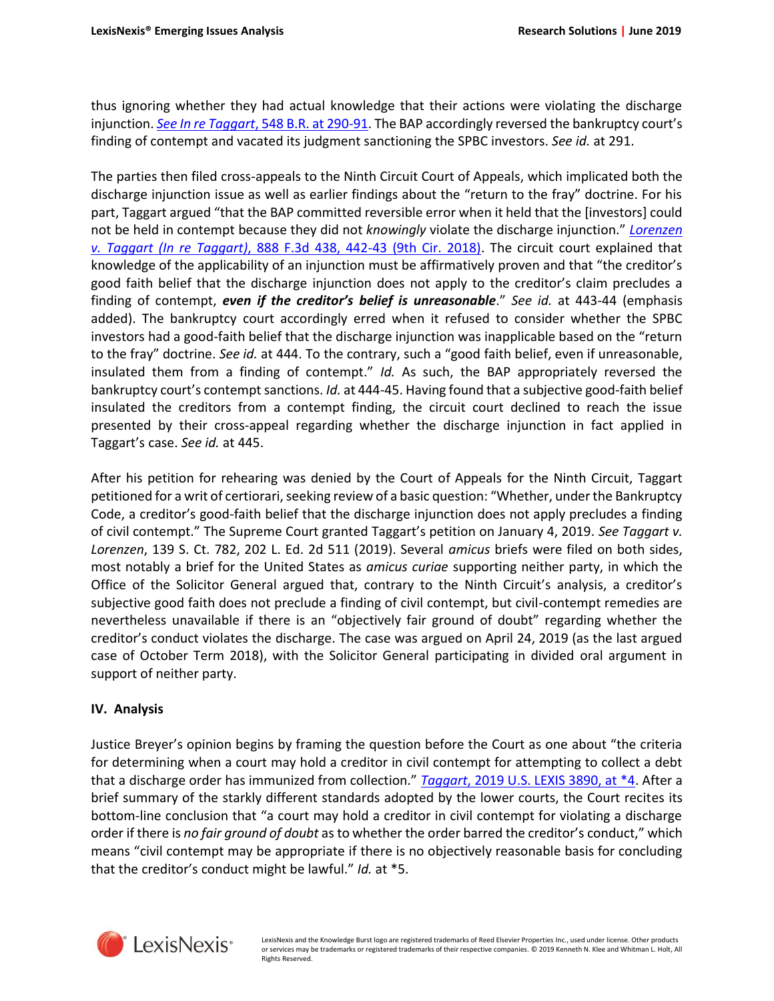thus ignoring whether they had actual knowledge that their actions were violating the discharge injunction. *See In re Taggart*[, 548 B.R. at 290-91](https://advance.lexis.com/api/search?context=1000516&q=548+B.R.+275%2c+290). The BAP accordingly reversed the bankruptcy court's finding of contempt and vacated its judgment sanctioning the SPBC investors. *See id.* at 291.

The parties then filed cross-appeals to the Ninth Circuit Court of Appeals, which implicated both the discharge injunction issue as well as earlier findings about the "return to the fray" doctrine. For his part, Taggart argued "that the BAP committed reversible error when it held that the [investors] could not be held in contempt because they did not *knowingly* violate the discharge injunction." *[Lorenzen](https://advance.lexis.com/api/search?context=1000516&q=888+F.3d+438%2c+442) v. Taggart (In re Taggart)*[, 888 F.3d 438, 442-43 \(9th Cir. 2018\).](https://advance.lexis.com/api/search?context=1000516&q=888+F.3d+438%2c+442) The circuit court explained that knowledge of the applicability of an injunction must be affirmatively proven and that "the creditor's good faith belief that the discharge injunction does not apply to the creditor's claim precludes a finding of contempt, *even if the creditor's belief is unreasonable*." *See id.* at 443-44 (emphasis added). The bankruptcy court accordingly erred when it refused to consider whether the SPBC investors had a good-faith belief that the discharge injunction was inapplicable based on the "return to the fray" doctrine. *See id.* at 444. To the contrary, such a "good faith belief, even if unreasonable, insulated them from a finding of contempt." *Id.* As such, the BAP appropriately reversed the bankruptcy court's contempt sanctions. *Id.* at 444-45. Having found that a subjective good-faith belief insulated the creditors from a contempt finding, the circuit court declined to reach the issue presented by their cross-appeal regarding whether the discharge injunction in fact applied in Taggart's case. *See id.* at 445.

After his petition for rehearing was denied by the Court of Appeals for the Ninth Circuit, Taggart petitioned for a writ of certiorari, seeking review of a basic question: "Whether, under the Bankruptcy Code, a creditor's good-faith belief that the discharge injunction does not apply precludes a finding of civil contempt." The Supreme Court granted Taggart's petition on January 4, 2019. *See Taggart v. Lorenzen*, 139 S. Ct. 782, 202 L. Ed. 2d 511 (2019). Several *amicus* briefs were filed on both sides, most notably a brief for the United States as *amicus curiae* supporting neither party, in which the Office of the Solicitor General argued that, contrary to the Ninth Circuit's analysis, a creditor's subjective good faith does not preclude a finding of civil contempt, but civil-contempt remedies are nevertheless unavailable if there is an "objectively fair ground of doubt" regarding whether the creditor's conduct violates the discharge. The case was argued on April 24, 2019 (as the last argued case of October Term 2018), with the Solicitor General participating in divided oral argument in support of neither party.

## **IV. Analysis**

Justice Breyer's opinion begins by framing the question before the Court as one about "the criteria for determining when a court may hold a creditor in civil contempt for attempting to collect a debt that a discharge order has immunized from collection." *Taggart*[, 2019 U.S. LEXIS 3890, at \\*4.](https://advance.lexis.com/api/search?context=1000516&q=2019+U.S.+LEXIS+3890%2c+at+*4) After a brief summary of the starkly different standards adopted by the lower courts, the Court recites its bottom-line conclusion that "a court may hold a creditor in civil contempt for violating a discharge order if there is *no fair ground of doubt* as to whether the order barred the creditor's conduct," which means "civil contempt may be appropriate if there is no objectively reasonable basis for concluding that the creditor's conduct might be lawful." *Id.* at \*5.

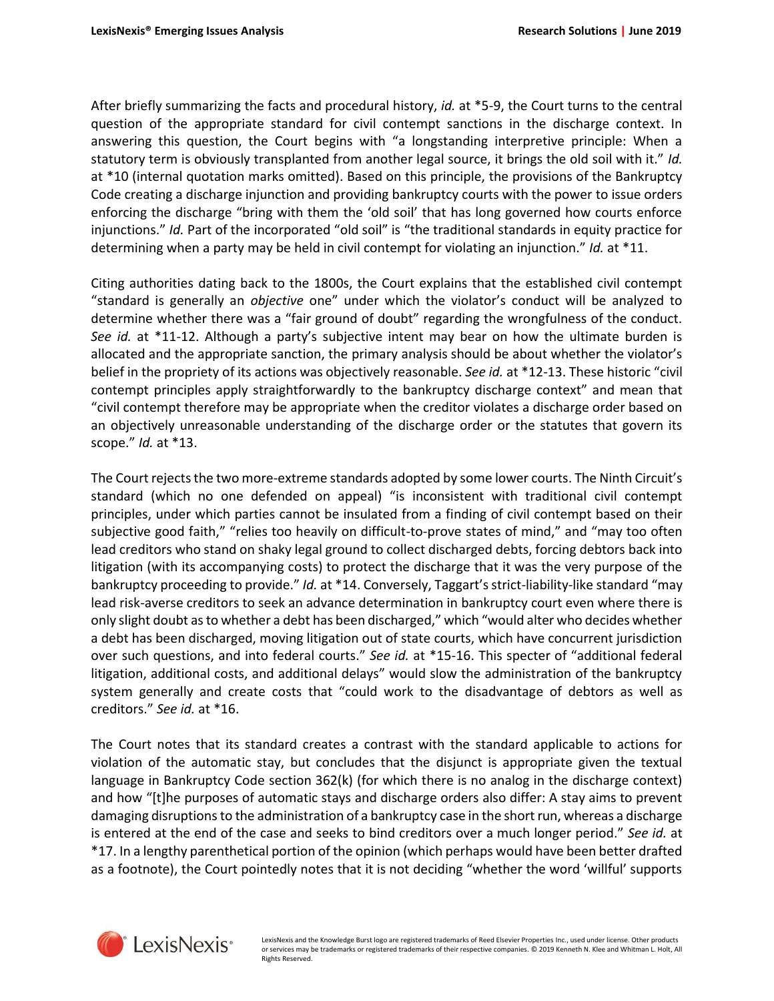After briefly summarizing the facts and procedural history, *id.* at \*5-9, the Court turns to the central question of the appropriate standard for civil contempt sanctions in the discharge context. In answering this question, the Court begins with "a longstanding interpretive principle: When a statutory term is obviously transplanted from another legal source, it brings the old soil with it." *Id.* at \*10 (internal quotation marks omitted). Based on this principle, the provisions of the Bankruptcy Code creating a discharge injunction and providing bankruptcy courts with the power to issue orders enforcing the discharge "bring with them the 'old soil' that has long governed how courts enforce injunctions." *Id.* Part of the incorporated "old soil" is "the traditional standards in equity practice for determining when a party may be held in civil contempt for violating an injunction." *Id.* at \*11.

Citing authorities dating back to the 1800s, the Court explains that the established civil contempt "standard is generally an *objective* one" under which the violator's conduct will be analyzed to determine whether there was a "fair ground of doubt" regarding the wrongfulness of the conduct. *See id.* at \*11-12. Although a party's subjective intent may bear on how the ultimate burden is allocated and the appropriate sanction, the primary analysis should be about whether the violator's belief in the propriety of its actions was objectively reasonable. *See id.* at \*12-13. These historic "civil contempt principles apply straightforwardly to the bankruptcy discharge context" and mean that "civil contempt therefore may be appropriate when the creditor violates a discharge order based on an objectively unreasonable understanding of the discharge order or the statutes that govern its scope." *Id.* at \*13.

The Court rejects the two more-extreme standards adopted by some lower courts. The Ninth Circuit's standard (which no one defended on appeal) "is inconsistent with traditional civil contempt principles, under which parties cannot be insulated from a finding of civil contempt based on their subjective good faith," "relies too heavily on difficult-to-prove states of mind," and "may too often lead creditors who stand on shaky legal ground to collect discharged debts, forcing debtors back into litigation (with its accompanying costs) to protect the discharge that it was the very purpose of the bankruptcy proceeding to provide." *Id.* at \*14. Conversely, Taggart's strict-liability-like standard "may lead risk-averse creditors to seek an advance determination in bankruptcy court even where there is only slight doubt as to whether a debt has been discharged," which "would alter who decides whether a debt has been discharged, moving litigation out of state courts, which have concurrent jurisdiction over such questions, and into federal courts." *See id.* at \*15-16. This specter of "additional federal litigation, additional costs, and additional delays" would slow the administration of the bankruptcy system generally and create costs that "could work to the disadvantage of debtors as well as creditors." *See id.* at \*16.

The Court notes that its standard creates a contrast with the standard applicable to actions for violation of the automatic stay, but concludes that the disjunct is appropriate given the textual language in Bankruptcy Code section 362(k) (for which there is no analog in the discharge context) and how "[t]he purposes of automatic stays and discharge orders also differ: A stay aims to prevent damaging disruptions to the administration of a bankruptcy case in the short run, whereas a discharge is entered at the end of the case and seeks to bind creditors over a much longer period." *See id.* at \*17. In a lengthy parenthetical portion of the opinion (which perhaps would have been better drafted as a footnote), the Court pointedly notes that it is not deciding "whether the word 'willful' supports



LexisNexis and the Knowledge Burst logo are registered trademarks of Reed Elsevier Properties Inc., used under license. Other products or services may be trademarks or registered trademarks of their respective companies. © 2019 Kenneth N. Klee and Whitman L. Holt, All Rights Reserved.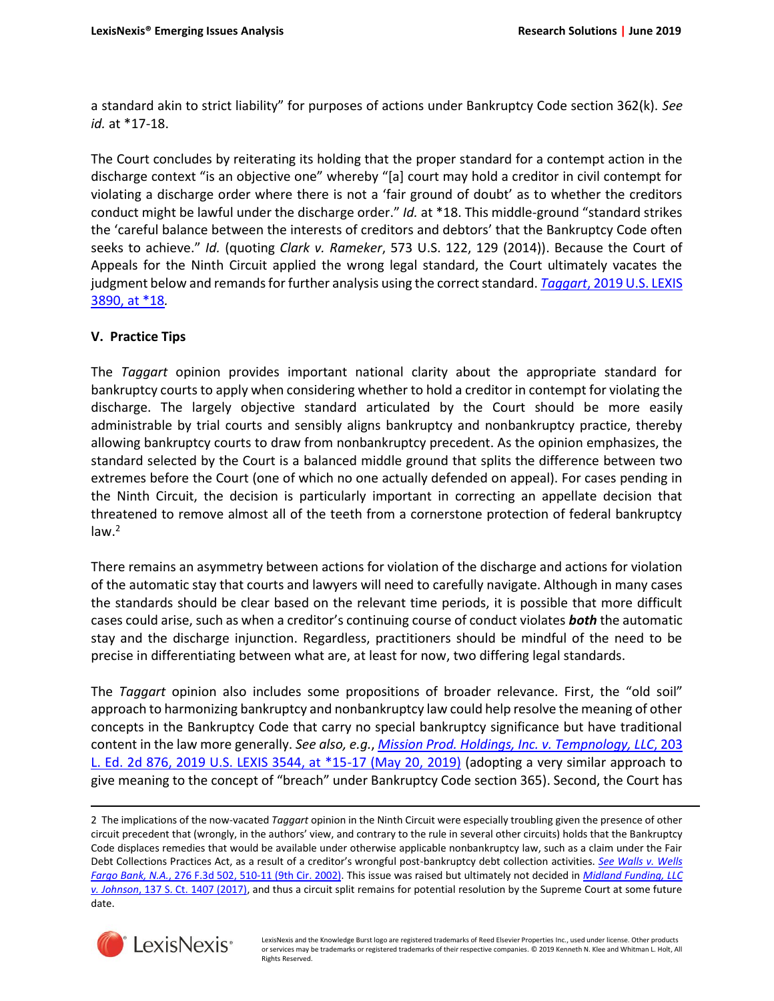a standard akin to strict liability" for purposes of actions under Bankruptcy Code section 362(k). *See id.* at \*17-18.

The Court concludes by reiterating its holding that the proper standard for a contempt action in the discharge context "is an objective one" whereby "[a] court may hold a creditor in civil contempt for violating a discharge order where there is not a 'fair ground of doubt' as to whether the creditors conduct might be lawful under the discharge order." *Id.* at \*18. This middle-ground "standard strikes the 'careful balance between the interests of creditors and debtors' that the Bankruptcy Code often seeks to achieve." *Id.* (quoting *Clark v. Rameker*, 573 U.S. 122, 129 (2014)). Because the Court of Appeals for the Ninth Circuit applied the wrong legal standard, the Court ultimately vacates the judgment below and remands for further analysis using the correct standard. *Taggart*[, 2019 U.S. LEXIS](https://advance.lexis.com/api/search?context=1000516&q=2019+U.S.+LEXIS+3890%2c+at+*18)  [3890, at \\*18](https://advance.lexis.com/api/search?context=1000516&q=2019+U.S.+LEXIS+3890%2c+at+*18)*.*

# **V. Practice Tips**

The *Taggart* opinion provides important national clarity about the appropriate standard for bankruptcy courts to apply when considering whether to hold a creditor in contempt for violating the discharge. The largely objective standard articulated by the Court should be more easily administrable by trial courts and sensibly aligns bankruptcy and nonbankruptcy practice, thereby allowing bankruptcy courts to draw from nonbankruptcy precedent. As the opinion emphasizes, the standard selected by the Court is a balanced middle ground that splits the difference between two extremes before the Court (one of which no one actually defended on appeal). For cases pending in the Ninth Circuit, the decision is particularly important in correcting an appellate decision that threatened to remove almost all of the teeth from a cornerstone protection of federal bankruptcy  $law<sup>2</sup>$ 

There remains an asymmetry between actions for violation of the discharge and actions for violation of the automatic stay that courts and lawyers will need to carefully navigate. Although in many cases the standards should be clear based on the relevant time periods, it is possible that more difficult cases could arise, such as when a creditor's continuing course of conduct violates *both* the automatic stay and the discharge injunction. Regardless, practitioners should be mindful of the need to be precise in differentiating between what are, at least for now, two differing legal standards.

The *Taggart* opinion also includes some propositions of broader relevance. First, the "old soil" approach to harmonizing bankruptcy and nonbankruptcy law could help resolve the meaning of other concepts in the Bankruptcy Code that carry no special bankruptcy significance but have traditional content in the law more generally. *See also, e.g.*, *Mission Prod. Holdings, Inc. v. [Tempnology,](https://advance.lexis.com/api/search?context=1000516&q=203+L.+Ed.+2d+876) LLC*, 203 [L. Ed. 2d 876, 2019 U.S. LEXIS 3544, at \\*15-17 \(May 20, 2019\)](https://advance.lexis.com/api/search?context=1000516&q=203+L.+Ed.+2d+876) (adopting a very similar approach to give meaning to the concept of "breach" under Bankruptcy Code section 365). Second, the Court has

<sup>2</sup> The implications of the now-vacated *Taggart* opinion in the Ninth Circuit were especially troubling given the presence of other circuit precedent that (wrongly, in the authors' view, and contrary to the rule in several other circuits) holds that the Bankruptcy Code displaces remedies that would be available under otherwise applicable nonbankruptcy law, such as a claim under the Fair Debt Collections Practices Act, as a result of a creditor's wrongful post-bankruptcy debt collection activities. *See [Walls](https://advance.lexis.com/api/search?context=1000516&q=276+F.3d+502%2c+510) v. Wells Fargo Bank, N.A.*[, 276 F.3d 502, 510-11 \(9th Cir. 2002\).](https://advance.lexis.com/api/search?context=1000516&q=276+F.3d+502%2c+510) This issue was raised but ultimately not decided in *Midland [Funding,](https://advance.lexis.com/api/search?context=1000516&q=137+S.+Ct.+1407) LLC v. Johnson*[, 137 S. Ct. 1407 \(2017\),](https://advance.lexis.com/api/search?context=1000516&q=137+S.+Ct.+1407) and thus a circuit split remains for potential resolution by the Supreme Court at some future date.



 $\overline{\phantom{a}}$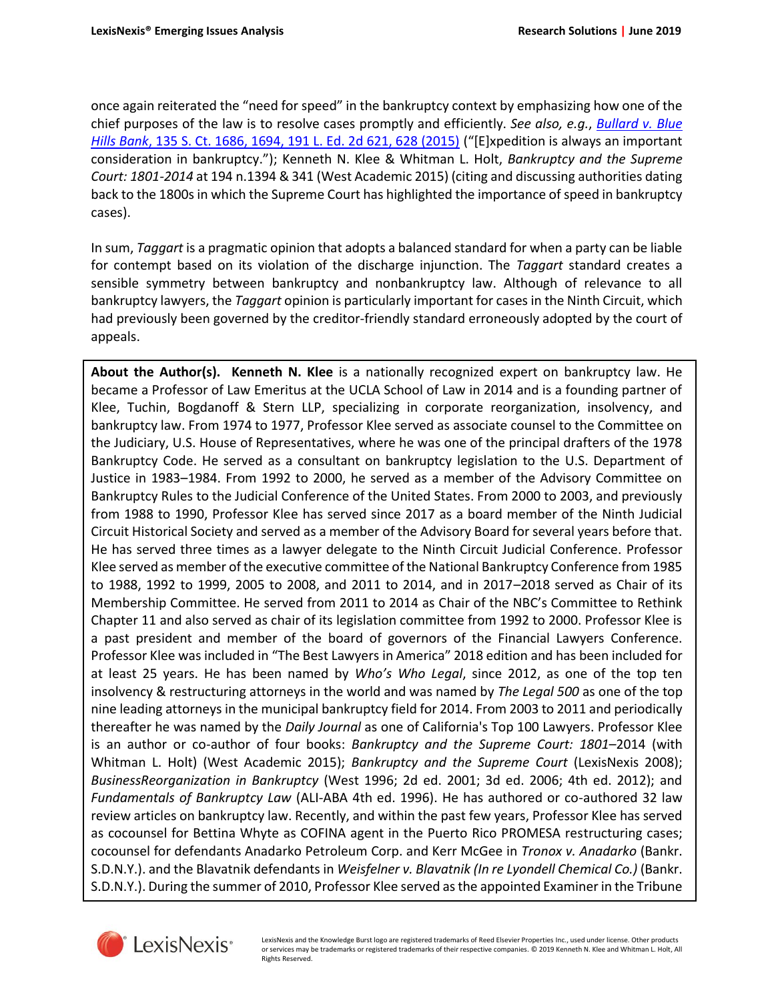once again reiterated the "need for speed" in the bankruptcy context by emphasizing how one of the chief purposes of the law is to resolve cases promptly and efficiently. *See also, e.g.*, *[Bullard](https://advance.lexis.com/api/search?context=1000516&q=135+S.+Ct.+1686%2c+1694) v. Blue Hills Bank*[, 135 S. Ct. 1686, 1694, 191 L. Ed. 2d 621, 628 \(2015\)](https://advance.lexis.com/api/search?context=1000516&q=135+S.+Ct.+1686%2c+1694) ("[E]xpedition is always an important consideration in bankruptcy."); Kenneth N. Klee & Whitman L. Holt, *Bankruptcy and the Supreme Court: 1801-2014* at 194 n.1394 & 341 (West Academic 2015) (citing and discussing authorities dating back to the 1800s in which the Supreme Court has highlighted the importance of speed in bankruptcy cases).

In sum, *Taggart* is a pragmatic opinion that adopts a balanced standard for when a party can be liable for contempt based on its violation of the discharge injunction. The *Taggart* standard creates a sensible symmetry between bankruptcy and nonbankruptcy law. Although of relevance to all bankruptcy lawyers, the *Taggart* opinion is particularly important for cases in the Ninth Circuit, which had previously been governed by the creditor-friendly standard erroneously adopted by the court of appeals.

**About the Author(s). Kenneth N. Klee** is a nationally recognized expert on bankruptcy law. He became a Professor of Law Emeritus at the UCLA School of Law in 2014 and is a founding partner of Klee, Tuchin, Bogdanoff & Stern LLP, specializing in corporate reorganization, insolvency, and bankruptcy law. From 1974 to 1977, Professor Klee served as associate counsel to the Committee on the Judiciary, U.S. House of Representatives, where he was one of the principal drafters of the 1978 Bankruptcy Code. He served as a consultant on bankruptcy legislation to the U.S. Department of Justice in 1983–1984. From 1992 to 2000, he served as a member of the Advisory Committee on Bankruptcy Rules to the Judicial Conference of the United States. From 2000 to 2003, and previously from 1988 to 1990, Professor Klee has served since 2017 as a board member of the Ninth Judicial Circuit Historical Society and served as a member of the Advisory Board for several years before that. He has served three times as a lawyer delegate to the Ninth Circuit Judicial Conference. Professor Klee served as member of the executive committee of the National Bankruptcy Conference from 1985 to 1988, 1992 to 1999, 2005 to 2008, and 2011 to 2014, and in 2017–2018 served as Chair of its Membership Committee. He served from 2011 to 2014 as Chair of the NBC's Committee to Rethink Chapter 11 and also served as chair of its legislation committee from 1992 to 2000. Professor Klee is a past president and member of the board of governors of the Financial Lawyers Conference. Professor Klee was included in "The Best Lawyers in America" 2018 edition and has been included for at least 25 years. He has been named by *Who's Who Legal*, since 2012, as one of the top ten insolvency & restructuring attorneys in the world and was named by *The Legal 500* as one of the top nine leading attorneys in the municipal bankruptcy field for 2014. From 2003 to 2011 and periodically thereafter he was named by the *Daily Journal* as one of California's Top 100 Lawyers. Professor Klee is an author or co-author of four books: *Bankruptcy and the Supreme Court: 1801–*2014 (with Whitman L. Holt) (West Academic 2015); *Bankruptcy and the Supreme Court* (LexisNexis 2008); *BusinessReorganization in Bankruptcy* (West 1996; 2d ed. 2001; 3d ed. 2006; 4th ed. 2012); and *Fundamentals of Bankruptcy Law* (ALI-ABA 4th ed. 1996). He has authored or co-authored 32 law review articles on bankruptcy law. Recently, and within the past few years, Professor Klee has served as cocounsel for Bettina Whyte as COFINA agent in the Puerto Rico PROMESA restructuring cases; cocounsel for defendants Anadarko Petroleum Corp. and Kerr McGee in *Tronox v. Anadarko* (Bankr. S.D.N.Y.). and the Blavatnik defendants in *Weisfelner v. Blavatnik (In re Lyondell Chemical Co.)* (Bankr. S.D.N.Y.). During the summer of 2010, Professor Klee served as the appointed Examiner in the Tribune



LexisNexis and the Knowledge Burst logo are registered trademarks of Reed Elsevier Properties Inc., used under license. Other products or services may be trademarks or registered trademarks of their respective companies. © 2019 Kenneth N. Klee and Whitman L. Holt, All Rights Reserved.